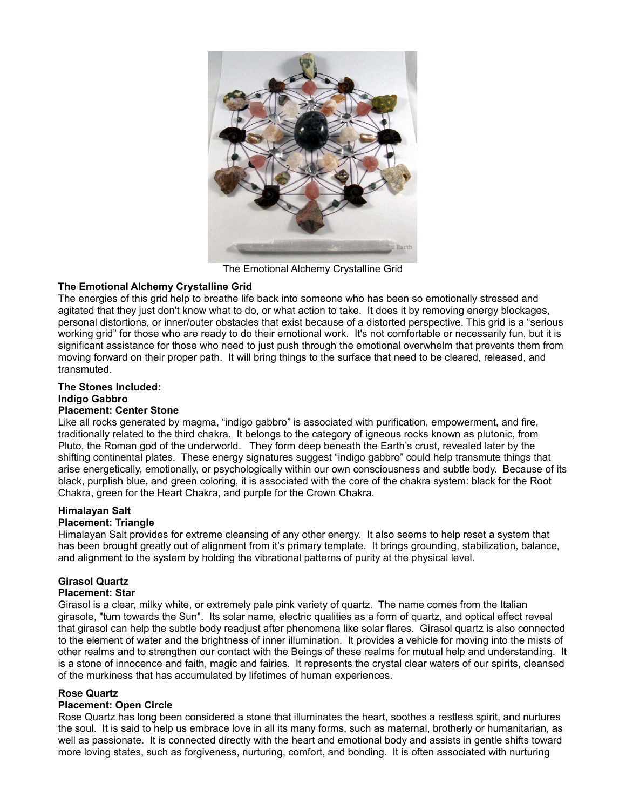

The Emotional Alchemy Crystalline Grid

# **The Emotional Alchemy Crystalline Grid**

The energies of this grid help to breathe life back into someone who has been so emotionally stressed and agitated that they just don't know what to do, or what action to take. It does it by removing energy blockages, personal distortions, or inner/outer obstacles that exist because of a distorted perspective. This grid is a "serious working grid" for those who are ready to do their emotional work. It's not comfortable or necessarily fun, but it is significant assistance for those who need to just push through the emotional overwhelm that prevents them from moving forward on their proper path. It will bring things to the surface that need to be cleared, released, and transmuted.

# **The Stones Included:**

## **Indigo Gabbro**

## **Placement: Center Stone**

Like all rocks generated by magma, "indigo gabbro" is associated with purification, empowerment, and fire, traditionally related to the third chakra. It belongs to the category of igneous rocks known as plutonic, from Pluto, the Roman god of the underworld. They form deep beneath the Earth's crust, revealed later by the shifting continental plates. These energy signatures suggest "indigo gabbro" could help transmute things that arise energetically, emotionally, or psychologically within our own consciousness and subtle body. Because of its black, purplish blue, and green coloring, it is associated with the core of the chakra system: black for the Root Chakra, green for the Heart Chakra, and purple for the Crown Chakra.

# **Himalayan Salt**

### **Placement: Triangle**

Himalayan Salt provides for extreme cleansing of any other energy. It also seems to help reset a system that has been brought greatly out of alignment from it's primary template. It brings grounding, stabilization, balance, and alignment to the system by holding the vibrational patterns of purity at the physical level.

# **Girasol Quartz**

### **Placement: Star**

Girasol is a clear, milky white, or extremely pale pink variety of quartz. The name comes from the Italian girasole, "turn towards the Sun". Its solar name, electric qualities as a form of quartz, and optical effect reveal that girasol can help the subtle body readjust after phenomena like solar flares. Girasol quartz is also connected to the element of water and the brightness of inner illumination. It provides a vehicle for moving into the mists of other realms and to strengthen our contact with the Beings of these realms for mutual help and understanding. It is a stone of innocence and faith, magic and fairies. It represents the crystal clear waters of our spirits, cleansed of the murkiness that has accumulated by lifetimes of human experiences.

# **Rose Quartz**

# **Placement: Open Circle**

Rose Quartz has long been considered a stone that illuminates the heart, soothes a restless spirit, and nurtures the soul. It is said to help us embrace love in all its many forms, such as maternal, brotherly or humanitarian, as well as passionate. It is connected directly with the heart and emotional body and assists in gentle shifts toward more loving states, such as forgiveness, nurturing, comfort, and bonding. It is often associated with nurturing